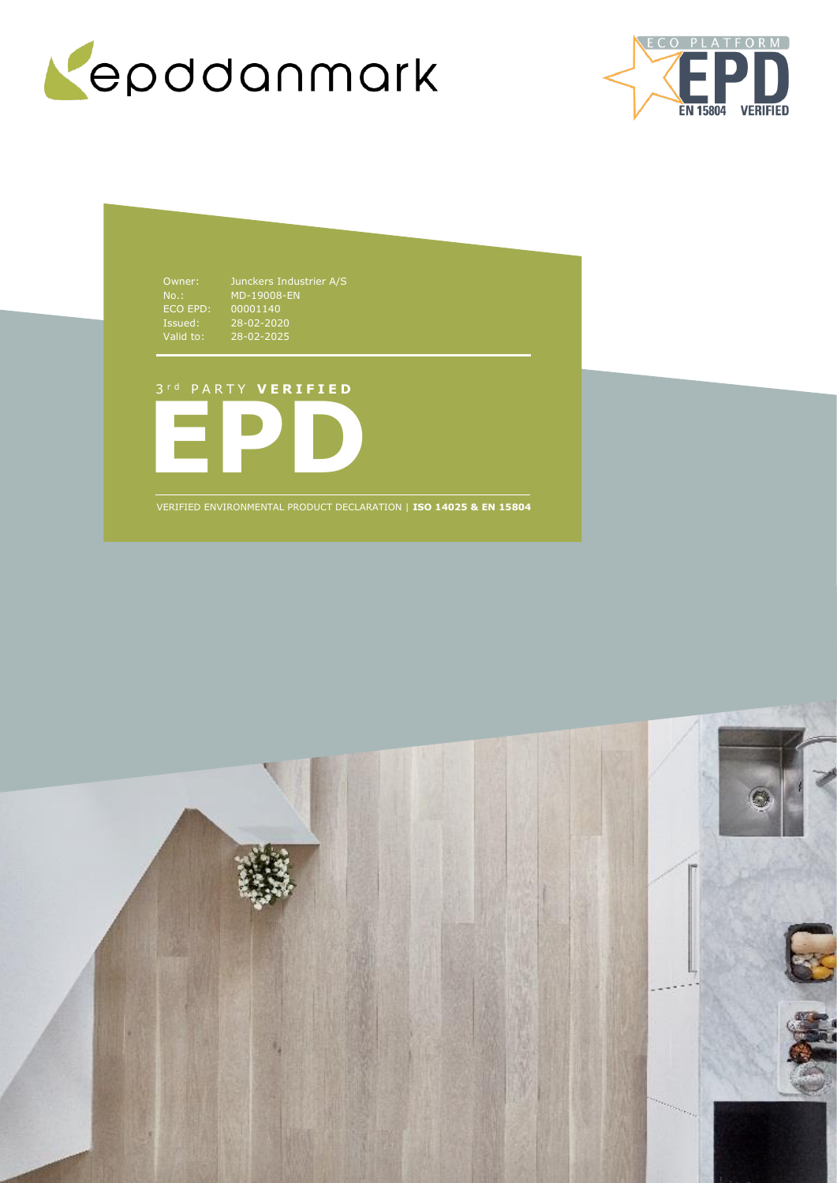



NO..<br>ECO EPD:<br>Issued:<br>Valid to: Issued: 28-02-2020 Valid to: 28-02-2025

Owner: Junckers Industrier A/S MD-19008-EN 00001140

# 3 r d P A R T Y **V E R I F I E D**



VERIFIED ENVIRONMENTAL PRODUCT DECLARATION | **ISO 14025 & EN 15804**

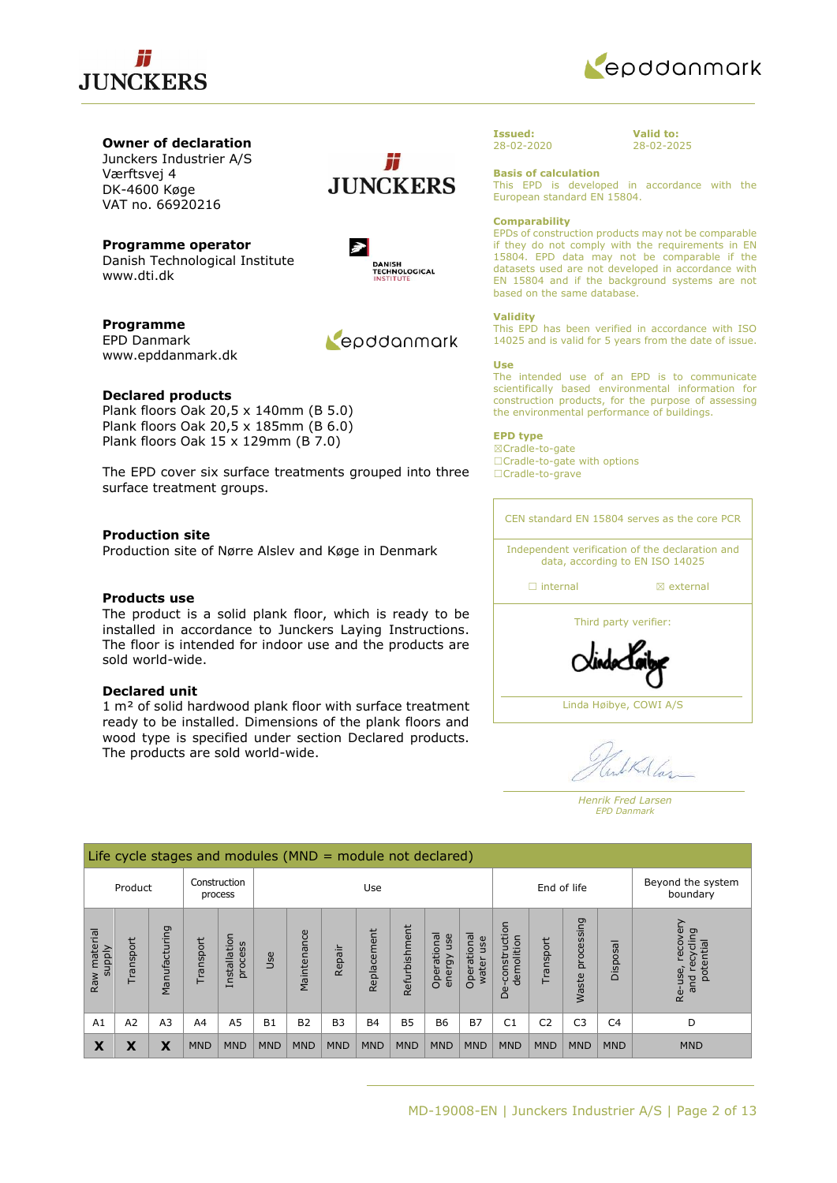



## **Owner of declaration**

Junckers Industrier A/S Værftsvej 4 DK-4600 Køge VAT no. 66920216

**Programme operator** Danish Technological Institute www.dti.dk



Repodanmark

#

**Programme** EPD Danmark www.epddanmark.dk

## **Declared products**

Plank floors Oak 20,5 x 140mm (B 5.0) Plank floors Oak 20,5 x 185mm (B 6.0) Plank floors Oak 15 x 129mm (B 7.0)

The EPD cover six surface treatments grouped into three surface treatment groups.

## **Production site**

Production site of Nørre Alslev and Køge in Denmark

### **Products use**

The product is a solid plank floor, which is ready to be installed in accordance to Junckers Laying Instructions. The floor is intended for indoor use and the products are sold world-wide.

## **Declared unit**

1 m² of solid hardwood plank floor with surface treatment ready to be installed. Dimensions of the plank floors and wood type is specified under section Declared products. The products are sold world-wide.



**Issued:** 28-02-2020 **Valid to:** 28-02-2025

### **Basis of calculation**

This EPD is developed in accordance with the European standard EN 15804.

### **Comparability**

EPDs of construction products may not be comparable if they do not comply with the requirements in EN 15804. EPD data may not be comparable if the datasets used are not developed in accordance with EN 15804 and if the background systems are not based on the same database.

### **Validity**

This EPD has been verified in accordance with ISO 14025 and is valid for 5 years from the date of issue.

### **Use**

The intended use of an EPD is to communicate scientifically based environmental information for construction products, for the purpose of assessing the environmental performance of buildings.

### **EPD type**

☒Cradle-to-gate ☐Cradle-to-gate with options ☐Cradle-to-grave

CEN standard EN 15804 serves as the core PCR Independent verification of the declaration and data, according to EN ISO 14025 □ internal **a** external Third party verifier: Linda Høibye, COWI A/S

*Henrik Fred Larsen EPD Danmark*

|                        | Life cycle stages and modules ( $MND =$ module not declared) |                |            |                         |            |             |                |             |               |                              |                             |                                 |                |                     |                |                                                     |
|------------------------|--------------------------------------------------------------|----------------|------------|-------------------------|------------|-------------|----------------|-------------|---------------|------------------------------|-----------------------------|---------------------------------|----------------|---------------------|----------------|-----------------------------------------------------|
|                        | Product                                                      |                |            | Construction<br>process |            | Use         |                |             | End of life   |                              |                             | Beyond the system<br>boundary   |                |                     |                |                                                     |
| Raw material<br>supply | Transport                                                    | Manufacturing  | Transport  | Installation<br>process | Use        | Maintenance | Repair         | Replacement | Refurbishment | Operational<br>use<br>energy | Operational<br>use<br>water | construction<br>demolition<br>å | Transport      | processing<br>Waste | Disposal       | recover<br>recycling<br>potential<br>Re-use,<br>and |
| A1                     | A2                                                           | A <sub>3</sub> | A4         | A <sub>5</sub>          | <b>B1</b>  | <b>B2</b>   | B <sub>3</sub> | <b>B4</b>   | <b>B5</b>     | <b>B6</b>                    | <b>B7</b>                   | C <sub>1</sub>                  | C <sub>2</sub> | C <sub>3</sub>      | C <sub>4</sub> | D                                                   |
| X                      | Х                                                            | χ              | <b>MND</b> | <b>MND</b>              | <b>MND</b> | <b>MND</b>  | <b>MND</b>     | <b>MND</b>  | <b>MND</b>    | <b>MND</b>                   | <b>MND</b>                  | <b>MND</b>                      | <b>MND</b>     | <b>MND</b>          | <b>MND</b>     | <b>MND</b>                                          |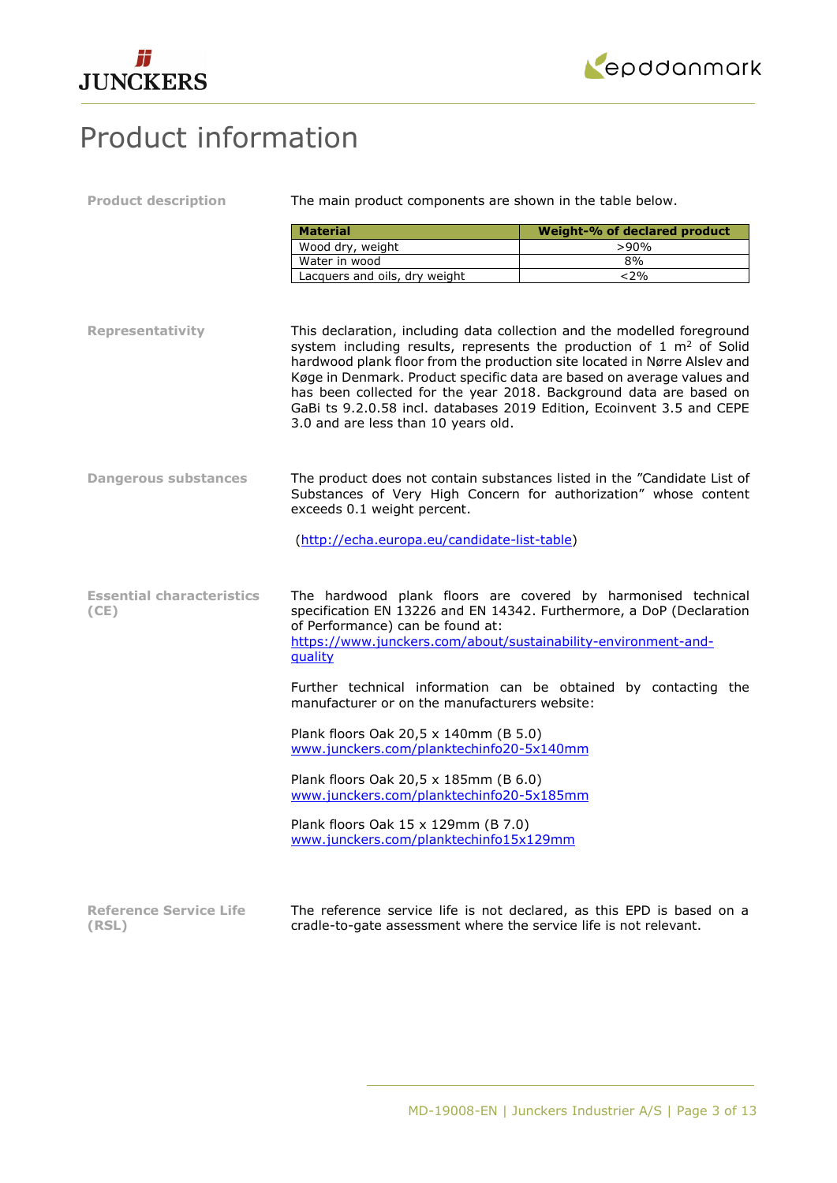



# Product information

| <b>Product description</b>               | The main product components are shown in the table below.                                                     |                                                                                                                                                                                                                                                                                                                                                                                                                                                                   |  |  |  |
|------------------------------------------|---------------------------------------------------------------------------------------------------------------|-------------------------------------------------------------------------------------------------------------------------------------------------------------------------------------------------------------------------------------------------------------------------------------------------------------------------------------------------------------------------------------------------------------------------------------------------------------------|--|--|--|
|                                          | <b>Material</b>                                                                                               | Weight-% of declared product                                                                                                                                                                                                                                                                                                                                                                                                                                      |  |  |  |
|                                          | Wood dry, weight                                                                                              | >90%                                                                                                                                                                                                                                                                                                                                                                                                                                                              |  |  |  |
|                                          | Water in wood                                                                                                 | 8%                                                                                                                                                                                                                                                                                                                                                                                                                                                                |  |  |  |
|                                          | Lacquers and oils, dry weight                                                                                 | < 2%                                                                                                                                                                                                                                                                                                                                                                                                                                                              |  |  |  |
|                                          |                                                                                                               |                                                                                                                                                                                                                                                                                                                                                                                                                                                                   |  |  |  |
| <b>Representativity</b>                  | 3.0 and are less than 10 years old.                                                                           | This declaration, including data collection and the modelled foreground<br>system including results, represents the production of 1 m <sup>2</sup> of Solid<br>hardwood plank floor from the production site located in Nørre Alslev and<br>Køge in Denmark. Product specific data are based on average values and<br>has been collected for the year 2018. Background data are based on<br>GaBi ts 9.2.0.58 incl. databases 2019 Edition, Ecoinvent 3.5 and CEPE |  |  |  |
| <b>Dangerous substances</b>              | exceeds 0.1 weight percent.                                                                                   | The product does not contain substances listed in the "Candidate List of<br>Substances of Very High Concern for authorization" whose content                                                                                                                                                                                                                                                                                                                      |  |  |  |
|                                          | (http://echa.europa.eu/candidate-list-table)                                                                  |                                                                                                                                                                                                                                                                                                                                                                                                                                                                   |  |  |  |
| <b>Essential characteristics</b><br>(CE) | of Performance) can be found at:<br>https://www.junckers.com/about/sustainability-environment-and-<br>quality | The hardwood plank floors are covered by harmonised technical<br>specification EN 13226 and EN 14342. Furthermore, a DoP (Declaration                                                                                                                                                                                                                                                                                                                             |  |  |  |
|                                          | manufacturer or on the manufacturers website:                                                                 | Further technical information can be obtained by contacting the                                                                                                                                                                                                                                                                                                                                                                                                   |  |  |  |
|                                          | Plank floors Oak 20,5 x 140mm (B 5.0)<br>www.junckers.com/planktechinfo20-5x140mm                             |                                                                                                                                                                                                                                                                                                                                                                                                                                                                   |  |  |  |
|                                          | Plank floors Oak 20,5 x 185mm (B 6.0)<br>www.junckers.com/planktechinfo20-5x185mm                             |                                                                                                                                                                                                                                                                                                                                                                                                                                                                   |  |  |  |
|                                          | Plank floors Oak 15 x 129mm (B 7.0)<br>www.junckers.com/planktechinfo15x129mm                                 |                                                                                                                                                                                                                                                                                                                                                                                                                                                                   |  |  |  |
| <b>Reference Service Life</b><br>(RSL)   | cradle-to-gate assessment where the service life is not relevant.                                             | The reference service life is not declared, as this EPD is based on a                                                                                                                                                                                                                                                                                                                                                                                             |  |  |  |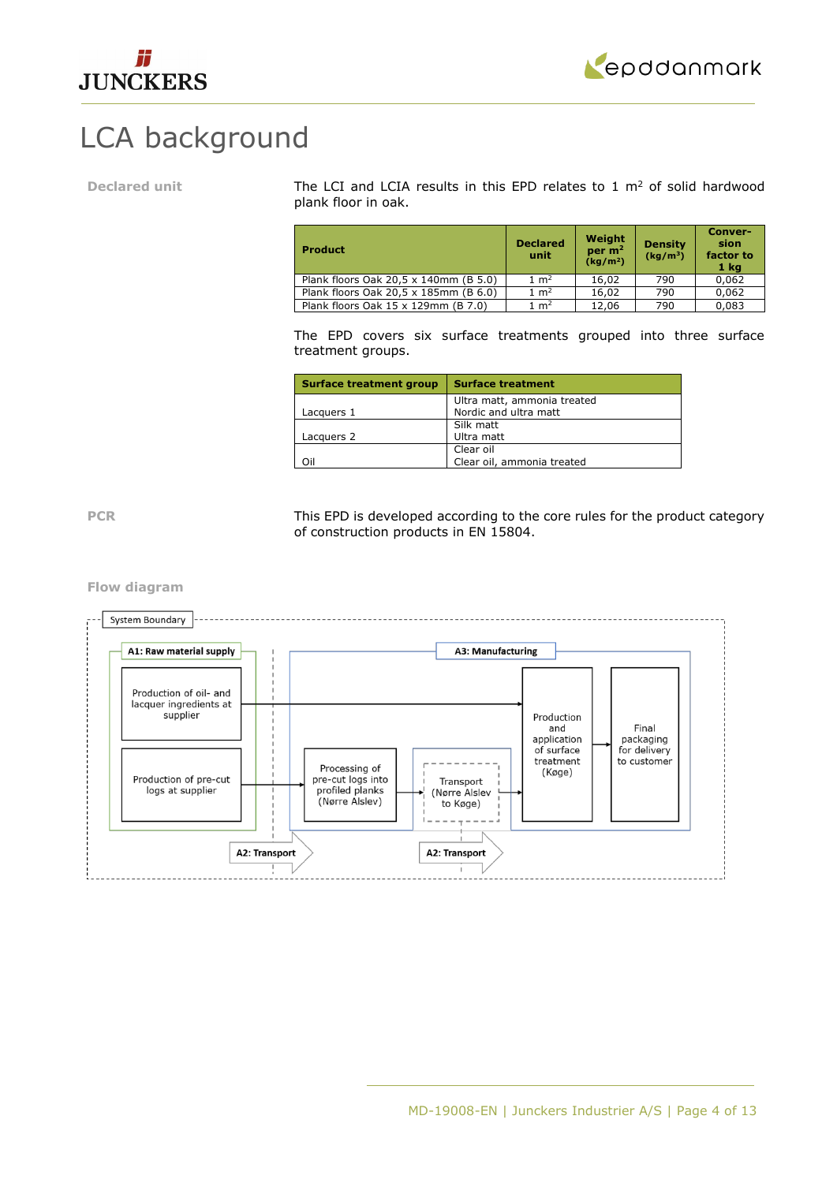



# LCA background

Declared unit The LCI and LCIA results in this EPD relates to 1 m<sup>2</sup> of solid hardwood plank floor in oak.

| <b>Product</b>                        | <b>Declared</b><br>unit | Weight<br>per $m2$<br>(kq/m <sup>2</sup> ) | <b>Density</b><br>(kq/m <sup>3</sup> ) | Conver-<br>sion<br>factor to<br>1 <sub>kq</sub> |
|---------------------------------------|-------------------------|--------------------------------------------|----------------------------------------|-------------------------------------------------|
| Plank floors Oak 20,5 x 140mm (B 5.0) | $1 \text{ m}^2$         | 16,02                                      | 790                                    | 0,062                                           |
| Plank floors Oak 20,5 x 185mm (B 6.0) | $1 \text{ m}^2$         | 16,02                                      | 790                                    | 0.062                                           |
| Plank floors Oak 15 x 129mm (B 7.0)   | $1 \; \mathrm{m}^2$     | 12,06                                      | 790                                    | 0,083                                           |

The EPD covers six surface treatments grouped into three surface treatment groups.

| <b>Surface treatment group</b> | <b>Surface treatment</b>    |
|--------------------------------|-----------------------------|
|                                | Ultra matt, ammonia treated |
| Lacquers 1                     | Nordic and ultra matt       |
|                                | Silk matt                   |
| Lacquers 2                     | Ultra matt                  |
|                                | Clear oil                   |
| Oil                            | Clear oil, ammonia treated  |

PCR This EPD is developed according to the core rules for the product category of construction products in EN 15804.

**Flow diagram**

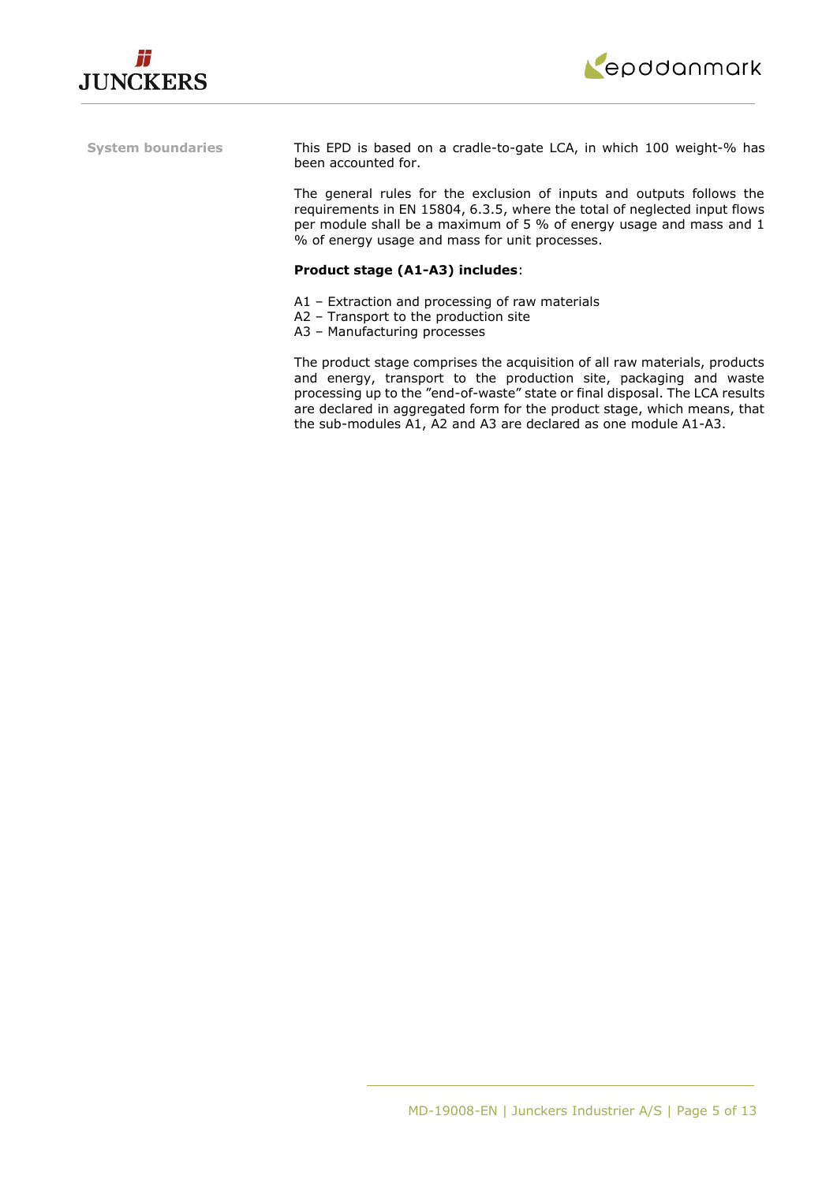



**System boundaries** This EPD is based on a cradle-to-gate LCA, in which 100 weight-% has been accounted for.

> The general rules for the exclusion of inputs and outputs follows the requirements in EN 15804, 6.3.5, where the total of neglected input flows per module shall be a maximum of 5 % of energy usage and mass and 1 % of energy usage and mass for unit processes.

## **Product stage (A1-A3) includes**:

- A1 Extraction and processing of raw materials
- A2 Transport to the production site
- A3 Manufacturing processes

The product stage comprises the acquisition of all raw materials, products and energy, transport to the production site, packaging and waste processing up to the "end-of-waste" state or final disposal. The LCA results are declared in aggregated form for the product stage, which means, that the sub-modules A1, A2 and A3 are declared as one module A1-A3.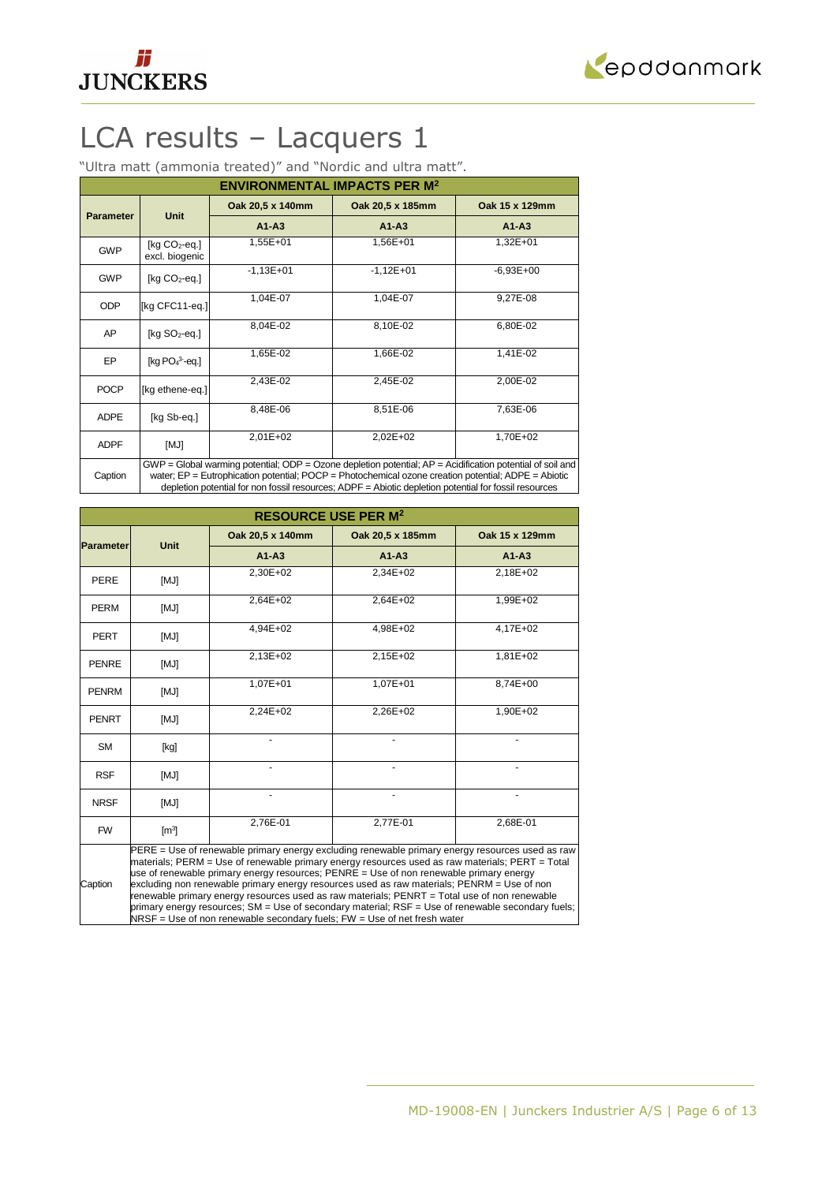



# LCA results – Lacquers 1

"Ultra matt (ammonia treated)" and "Nordic and ultra matt".

|                                                                                                                                                                                                                                            | <b>ENVIRONMENTAL IMPACTS PER M<sup>2</sup></b> |                  |                  |                |  |  |  |
|--------------------------------------------------------------------------------------------------------------------------------------------------------------------------------------------------------------------------------------------|------------------------------------------------|------------------|------------------|----------------|--|--|--|
|                                                                                                                                                                                                                                            |                                                | Oak 20,5 x 140mm | Oak 20,5 x 185mm | Oak 15 x 129mm |  |  |  |
| <b>Parameter</b>                                                                                                                                                                                                                           | <b>Unit</b>                                    | $A1 - A3$        | $A1 - A3$        | $A1-A3$        |  |  |  |
| <b>GWP</b>                                                                                                                                                                                                                                 | [ $kg CO2$ -eq.]<br>excl. biogenic             | 1,55E+01         | 1,56E+01         | 1,32E+01       |  |  |  |
| <b>GWP</b>                                                                                                                                                                                                                                 | $[kq CO2-eq.]$                                 | $-1,13E+01$      | $-1,12E+01$      | $-6,93E+00$    |  |  |  |
| <b>ODP</b>                                                                                                                                                                                                                                 | [kg CFC11-eg.]                                 | 1,04E-07         | 1,04E-07         | 9,27E-08       |  |  |  |
| AP                                                                                                                                                                                                                                         | [kg $SO2$ -eq.]                                | 8,04E-02         | 8,10E-02         | 6,80E-02       |  |  |  |
| EP                                                                                                                                                                                                                                         | $[kq PO43-eq.]$                                | 1,65E-02         | 1,66E-02         | 1,41E-02       |  |  |  |
| <b>POCP</b>                                                                                                                                                                                                                                | [kg ethene-eq.]                                | 2,43E-02         | 2,45E-02         | 2,00E-02       |  |  |  |
| <b>ADPE</b>                                                                                                                                                                                                                                | [kg Sb-eq.]                                    | 8,48E-06         | 8,51E-06         | 7,63E-06       |  |  |  |
| <b>ADPF</b>                                                                                                                                                                                                                                | [MJ]                                           | $2,01E+02$       | 2,02E+02         | 1,70E+02       |  |  |  |
| $GWP = Global$ warming potential; $ODP = O$ zone depletion potential; $AP = Acidification$ potential of soil and<br>water; $EP = Eutrophication potential$ ; $POCP = Photochemical ozone creation potential$ ; $ADPE = Abiotic$<br>Caption |                                                |                  |                  |                |  |  |  |

water; EP = Eutrophication potential; POCP = Photochemical ozone creation potential; ADPE = Abiotic depletion potential for non fossil resources; ADPF = Abiotic depletion potential for fossil resources

| <b>RESOURCE USE PER M<sup>2</sup></b> |                                                                                                                                                                                                                                                                                                                                                                                                                                                                                                                                                                                                                                                                               |                  |                  |                |  |  |
|---------------------------------------|-------------------------------------------------------------------------------------------------------------------------------------------------------------------------------------------------------------------------------------------------------------------------------------------------------------------------------------------------------------------------------------------------------------------------------------------------------------------------------------------------------------------------------------------------------------------------------------------------------------------------------------------------------------------------------|------------------|------------------|----------------|--|--|
|                                       | <b>Unit</b>                                                                                                                                                                                                                                                                                                                                                                                                                                                                                                                                                                                                                                                                   | Oak 20,5 x 140mm | Oak 20,5 x 185mm | Oak 15 x 129mm |  |  |
| <b>Parameter</b>                      |                                                                                                                                                                                                                                                                                                                                                                                                                                                                                                                                                                                                                                                                               | $A1 - A3$        | $A1 - A3$        | $A1 - A3$      |  |  |
| <b>PERE</b>                           | [MJ]                                                                                                                                                                                                                                                                                                                                                                                                                                                                                                                                                                                                                                                                          | 2,30E+02         | 2,34E+02         | 2,18E+02       |  |  |
| <b>PERM</b>                           | [MJ]                                                                                                                                                                                                                                                                                                                                                                                                                                                                                                                                                                                                                                                                          | 2,64E+02         | 2,64E+02         | 1,99E+02       |  |  |
| <b>PERT</b>                           | [MJ]                                                                                                                                                                                                                                                                                                                                                                                                                                                                                                                                                                                                                                                                          | 4,94E+02         | 4,98E+02         | 4,17E+02       |  |  |
| <b>PENRE</b>                          | [MJ]                                                                                                                                                                                                                                                                                                                                                                                                                                                                                                                                                                                                                                                                          | 2,13E+02         | 2,15E+02         | 1,81E+02       |  |  |
| <b>PENRM</b>                          | [MJ]                                                                                                                                                                                                                                                                                                                                                                                                                                                                                                                                                                                                                                                                          | 1,07E+01         | 1,07E+01         | 8,74E+00       |  |  |
| <b>PENRT</b>                          | [MJ]                                                                                                                                                                                                                                                                                                                                                                                                                                                                                                                                                                                                                                                                          | 2,24E+02         | 2,26E+02         | 1,90E+02       |  |  |
| <b>SM</b>                             | [kg]                                                                                                                                                                                                                                                                                                                                                                                                                                                                                                                                                                                                                                                                          |                  |                  |                |  |  |
| <b>RSF</b>                            | [MJ]                                                                                                                                                                                                                                                                                                                                                                                                                                                                                                                                                                                                                                                                          |                  |                  |                |  |  |
| <b>NRSF</b>                           | [MJ]                                                                                                                                                                                                                                                                                                                                                                                                                                                                                                                                                                                                                                                                          | ٠                | ä,               |                |  |  |
| <b>FW</b>                             | $\mathsf{[m^3]}$                                                                                                                                                                                                                                                                                                                                                                                                                                                                                                                                                                                                                                                              | 2,76E-01         | 2,77E-01         | 2,68E-01       |  |  |
| Caption                               | PERE = Use of renewable primary energy excluding renewable primary energy resources used as raw<br>materials; PERM = Use of renewable primary energy resources used as raw materials; PERT = Total<br>use of renewable primary energy resources; PENRE = Use of non renewable primary energy<br>excluding non renewable primary energy resources used as raw materials; PENRM = Use of non<br>renewable primary energy resources used as raw materials; PENRT = Total use of non renewable<br>primary energy resources; SM = Use of secondary material; RSF = Use of renewable secondary fuels;<br>$NRSF = Use of non renewable secondary fuels; FW = Use of net fresh water$ |                  |                  |                |  |  |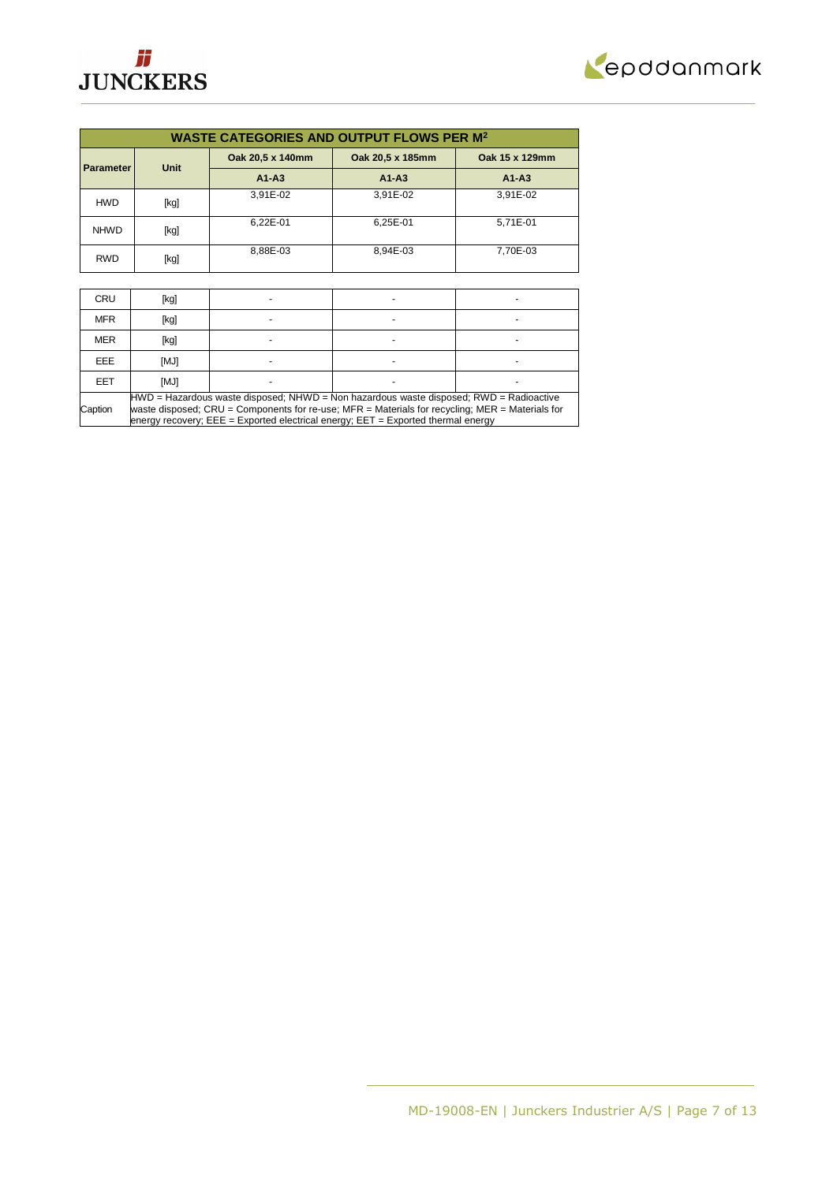



| <b>WASTE CATEGORIES AND OUTPUT FLOWS PER M<sup>2</sup></b> |      |                  |                  |                |  |  |  |
|------------------------------------------------------------|------|------------------|------------------|----------------|--|--|--|
| <b>Parameter</b>                                           | Unit | Oak 20,5 x 140mm | Oak 20,5 x 185mm | Oak 15 x 129mm |  |  |  |
|                                                            |      | $A1 - A3$        | $A1 - A3$        | $A1 - A3$      |  |  |  |
| <b>HWD</b>                                                 | [kg] | 3.91E-02         | 3.91E-02         | 3.91E-02       |  |  |  |
| <b>NHWD</b>                                                | [kg] | 6.22E-01         | 6.25E-01         | 5.71E-01       |  |  |  |
| <b>RWD</b>                                                 | [kg] | 8.88E-03         | 8.94E-03         | 7.70E-03       |  |  |  |

| <b>CRU</b> | [kg]                                                                                                                                                                                                                                                                                 |  |  |  |  |  |
|------------|--------------------------------------------------------------------------------------------------------------------------------------------------------------------------------------------------------------------------------------------------------------------------------------|--|--|--|--|--|
| <b>MFR</b> | [kg]                                                                                                                                                                                                                                                                                 |  |  |  |  |  |
| <b>MER</b> | [kg]                                                                                                                                                                                                                                                                                 |  |  |  |  |  |
| EEE.       | [MJ]                                                                                                                                                                                                                                                                                 |  |  |  |  |  |
| EET        | [MJ]                                                                                                                                                                                                                                                                                 |  |  |  |  |  |
| Caption    | $HWD =$ Hazardous waste disposed; NHWD = Non hazardous waste disposed; RWD = Radioactive<br>waste disposed; CRU = Components for re-use; MFR = Materials for recycling; MER = Materials for<br>energy recovery; $EEE = Exported electrical energy$ ; $EET = Exported thermal energy$ |  |  |  |  |  |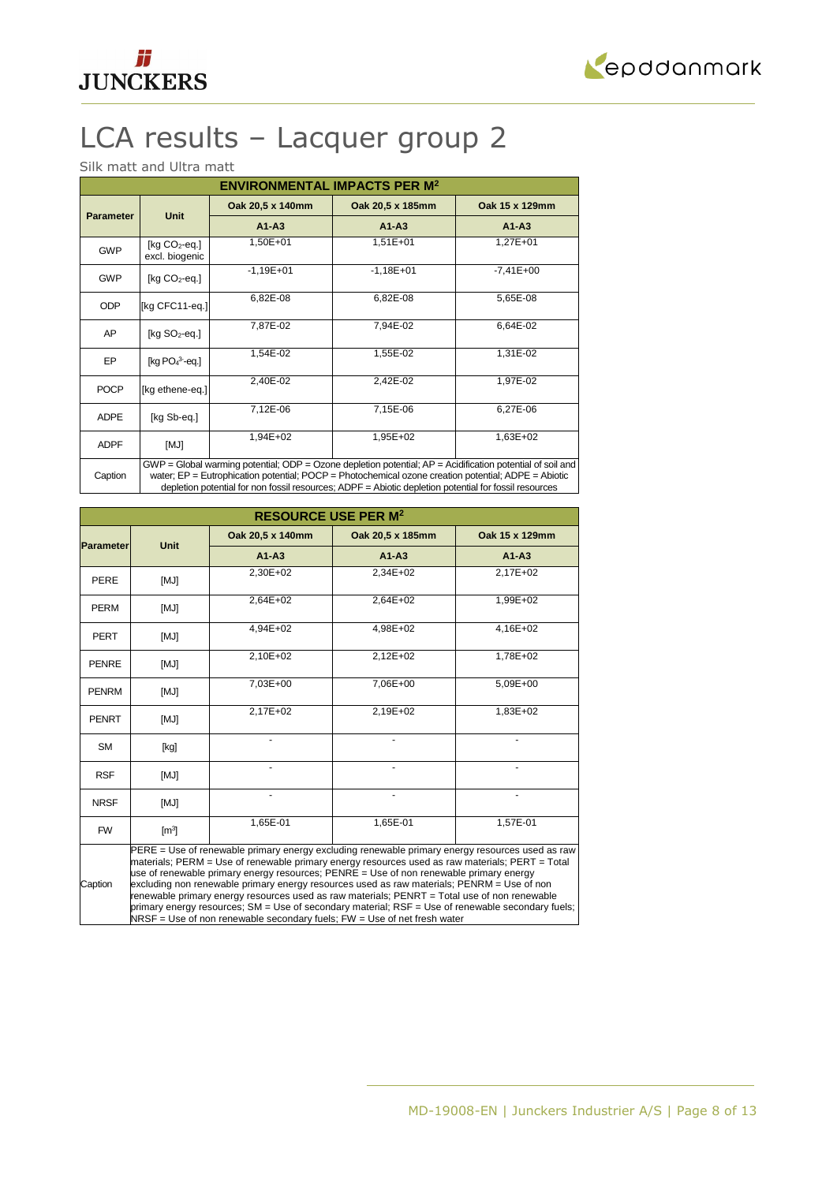



# LCA results – Lacquer group 2

Silk matt and Ultra matt

| <b>ENVIRONMENTAL IMPACTS PER M<sup>2</sup></b>                                                                                                                                                                                            |                                    |                  |                  |                |  |  |
|-------------------------------------------------------------------------------------------------------------------------------------------------------------------------------------------------------------------------------------------|------------------------------------|------------------|------------------|----------------|--|--|
|                                                                                                                                                                                                                                           |                                    | Oak 20,5 x 140mm | Oak 20,5 x 185mm | Oak 15 x 129mm |  |  |
| <b>Parameter</b>                                                                                                                                                                                                                          | <b>Unit</b>                        | $A1 - A3$        | $A1 - A3$        | $A1 - A3$      |  |  |
| <b>GWP</b>                                                                                                                                                                                                                                | [ $kg CO2$ -eq.]<br>excl. biogenic | 1,50E+01         | 1,51E+01         | 1,27E+01       |  |  |
| <b>GWP</b>                                                                                                                                                                                                                                | [ $kg CO2$ -eq.]                   | $-1,19E+01$      | $-1,18E+01$      | $-7,41E+00$    |  |  |
| <b>ODP</b>                                                                                                                                                                                                                                | [kg CFC11-eq.]                     | 6,82E-08         | 6,82E-08         | 5,65E-08       |  |  |
| AP                                                                                                                                                                                                                                        | [kg $SO2$ -eq.]                    | 7,87E-02         | 7,94E-02         | 6,64E-02       |  |  |
| EP                                                                                                                                                                                                                                        | [kg $PO43$ -eq.]                   | 1,54E-02         | 1,55E-02         | 1,31E-02       |  |  |
| <b>POCP</b>                                                                                                                                                                                                                               | [kg ethene-eq.]                    | 2,40E-02         | 2,42E-02         | 1,97E-02       |  |  |
| <b>ADPE</b>                                                                                                                                                                                                                               | [kg Sb-eg.]                        | 7,12E-06         | 7,15E-06         | 6,27E-06       |  |  |
| <b>ADPF</b>                                                                                                                                                                                                                               | [MJ]                               | 1,94E+02         | 1,95E+02         | 1,63E+02       |  |  |
| $GWP = Global$ warming potential; ODP = Ozone depletion potential; $AP =$ Acidification potential of soil and<br>water; $EP = Eutrophication potential$ ; $POCP = Photochematical ozone creation potential$ ; $ADPE = Abiotic$<br>Caption |                                    |                  |                  |                |  |  |

water; EP = Eutrophication potential; POCP = Photochemical ozone creation potential; ADPE = Abiotic depletion potential for non fossil resources; ADPF = Abiotic depletion potential for fossil resources

| <b>RESOURCE USE PER M<sup>2</sup></b> |                                                                                                                                                                                                                                                                                                                                                                                                                                                                                                                                                                                                                                                                               |                  |                  |                |  |  |  |
|---------------------------------------|-------------------------------------------------------------------------------------------------------------------------------------------------------------------------------------------------------------------------------------------------------------------------------------------------------------------------------------------------------------------------------------------------------------------------------------------------------------------------------------------------------------------------------------------------------------------------------------------------------------------------------------------------------------------------------|------------------|------------------|----------------|--|--|--|
|                                       | <b>Unit</b>                                                                                                                                                                                                                                                                                                                                                                                                                                                                                                                                                                                                                                                                   | Oak 20,5 x 140mm | Oak 20,5 x 185mm | Oak 15 x 129mm |  |  |  |
| <b>Parameter</b>                      |                                                                                                                                                                                                                                                                                                                                                                                                                                                                                                                                                                                                                                                                               | $A1 - A3$        | $A1 - A3$        | $A1 - A3$      |  |  |  |
| <b>PERE</b>                           | [MJ]                                                                                                                                                                                                                                                                                                                                                                                                                                                                                                                                                                                                                                                                          | 2,30E+02         | 2,34E+02         | 2,17E+02       |  |  |  |
| <b>PERM</b>                           | [MJ]                                                                                                                                                                                                                                                                                                                                                                                                                                                                                                                                                                                                                                                                          | 2,64E+02         | 2,64E+02         | 1,99E+02       |  |  |  |
| <b>PERT</b>                           | [MJ]                                                                                                                                                                                                                                                                                                                                                                                                                                                                                                                                                                                                                                                                          | 4,94E+02         | 4,98E+02         | 4,16E+02       |  |  |  |
| <b>PENRE</b>                          | [MJ]                                                                                                                                                                                                                                                                                                                                                                                                                                                                                                                                                                                                                                                                          | 2,10E+02         | 2,12E+02         | 1,78E+02       |  |  |  |
| <b>PENRM</b>                          | [MJ]                                                                                                                                                                                                                                                                                                                                                                                                                                                                                                                                                                                                                                                                          | 7,03E+00         | 7,06E+00         | 5,09E+00       |  |  |  |
| <b>PENRT</b>                          | [MJ]                                                                                                                                                                                                                                                                                                                                                                                                                                                                                                                                                                                                                                                                          | 2,17E+02         | 2,19E+02         | 1,83E+02       |  |  |  |
| <b>SM</b>                             | [kg]                                                                                                                                                                                                                                                                                                                                                                                                                                                                                                                                                                                                                                                                          |                  |                  |                |  |  |  |
| <b>RSF</b>                            | [MJ]                                                                                                                                                                                                                                                                                                                                                                                                                                                                                                                                                                                                                                                                          |                  |                  |                |  |  |  |
| <b>NRSF</b>                           | [MJ]                                                                                                                                                                                                                                                                                                                                                                                                                                                                                                                                                                                                                                                                          | ٠                | ä,               |                |  |  |  |
| <b>FW</b>                             | $\mathsf{[m^3]}$                                                                                                                                                                                                                                                                                                                                                                                                                                                                                                                                                                                                                                                              | 1,65E-01         | 1,65E-01         | 1,57E-01       |  |  |  |
| Caption                               | PERE = Use of renewable primary energy excluding renewable primary energy resources used as raw<br>materials; PERM = Use of renewable primary energy resources used as raw materials; PERT = Total<br>use of renewable primary energy resources; PENRE = Use of non renewable primary energy<br>excluding non renewable primary energy resources used as raw materials; PENRM = Use of non<br>renewable primary energy resources used as raw materials; PENRT = Total use of non renewable<br>primary energy resources; SM = Use of secondary material; RSF = Use of renewable secondary fuels;<br>$NRSF = Use of non renewable secondary fuels; FW = Use of net fresh water$ |                  |                  |                |  |  |  |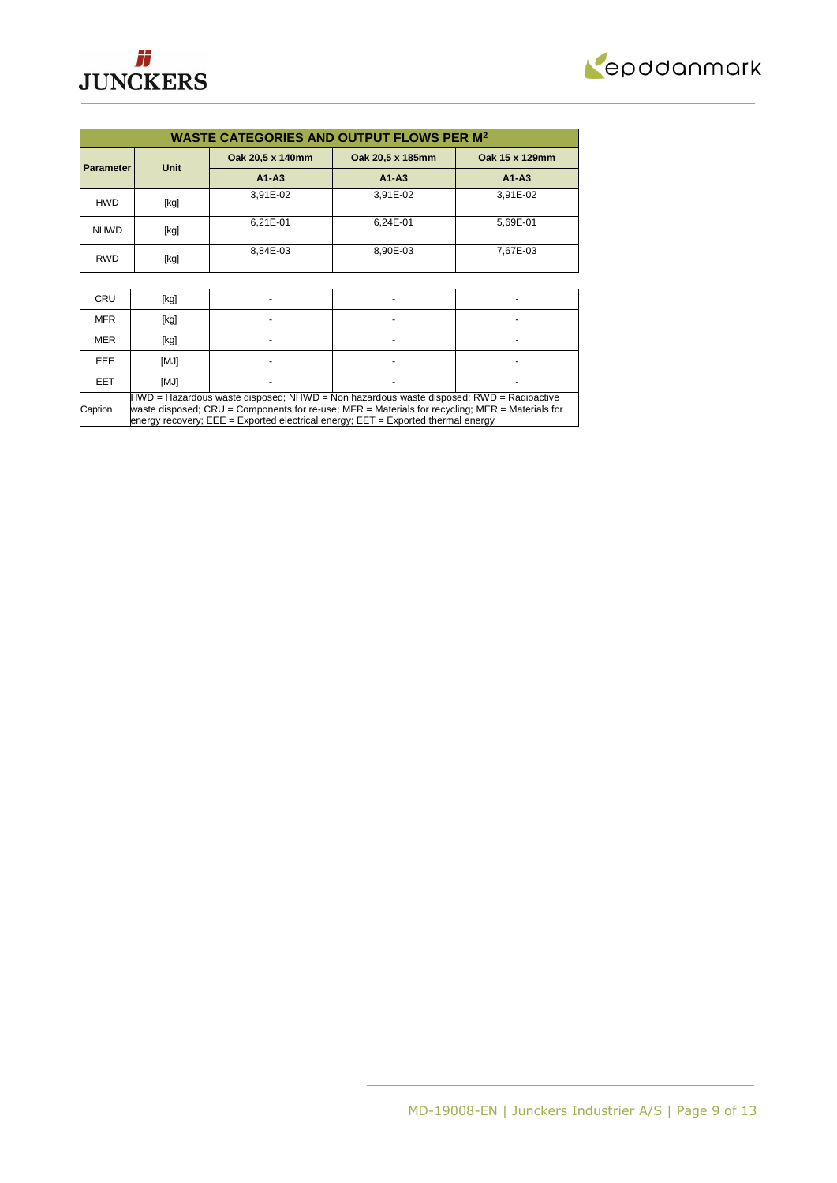



| <b>WASTE CATEGORIES AND OUTPUT FLOWS PER M<sup>2</sup></b> |             |                  |                  |                |  |  |  |
|------------------------------------------------------------|-------------|------------------|------------------|----------------|--|--|--|
| <b>Parameter</b>                                           | <b>Unit</b> | Oak 20,5 x 140mm | Oak 20,5 x 185mm | Oak 15 x 129mm |  |  |  |
|                                                            |             | $A1 - A3$        | $A1 - A3$        | $A1 - A3$      |  |  |  |
| <b>HWD</b>                                                 | [kg]        | 3.91E-02         | 3,91E-02         | 3,91E-02       |  |  |  |
| <b>NHWD</b>                                                | [kg]        | 6,21E-01         | 6.24E-01         | 5.69E-01       |  |  |  |
| <b>RWD</b>                                                 | [kg]        | 8.84E-03         | 8.90E-03         | 7.67E-03       |  |  |  |

| <b>CRU</b> | [kg]                                                                                                                                                                                                                                                                                 |  |  |  |  |  |
|------------|--------------------------------------------------------------------------------------------------------------------------------------------------------------------------------------------------------------------------------------------------------------------------------------|--|--|--|--|--|
| <b>MFR</b> | [kg]                                                                                                                                                                                                                                                                                 |  |  |  |  |  |
| <b>MER</b> | [kg]                                                                                                                                                                                                                                                                                 |  |  |  |  |  |
| EEE.       | [MJ]                                                                                                                                                                                                                                                                                 |  |  |  |  |  |
| EET        | [MJ]                                                                                                                                                                                                                                                                                 |  |  |  |  |  |
| Caption    | $HWD =$ Hazardous waste disposed; NHWD = Non hazardous waste disposed; RWD = Radioactive<br>waste disposed; CRU = Components for re-use; MFR = Materials for recycling; MER = Materials for<br>energy recovery; $EEE = Exported electrical energy$ ; $EET = Exported thermal energy$ |  |  |  |  |  |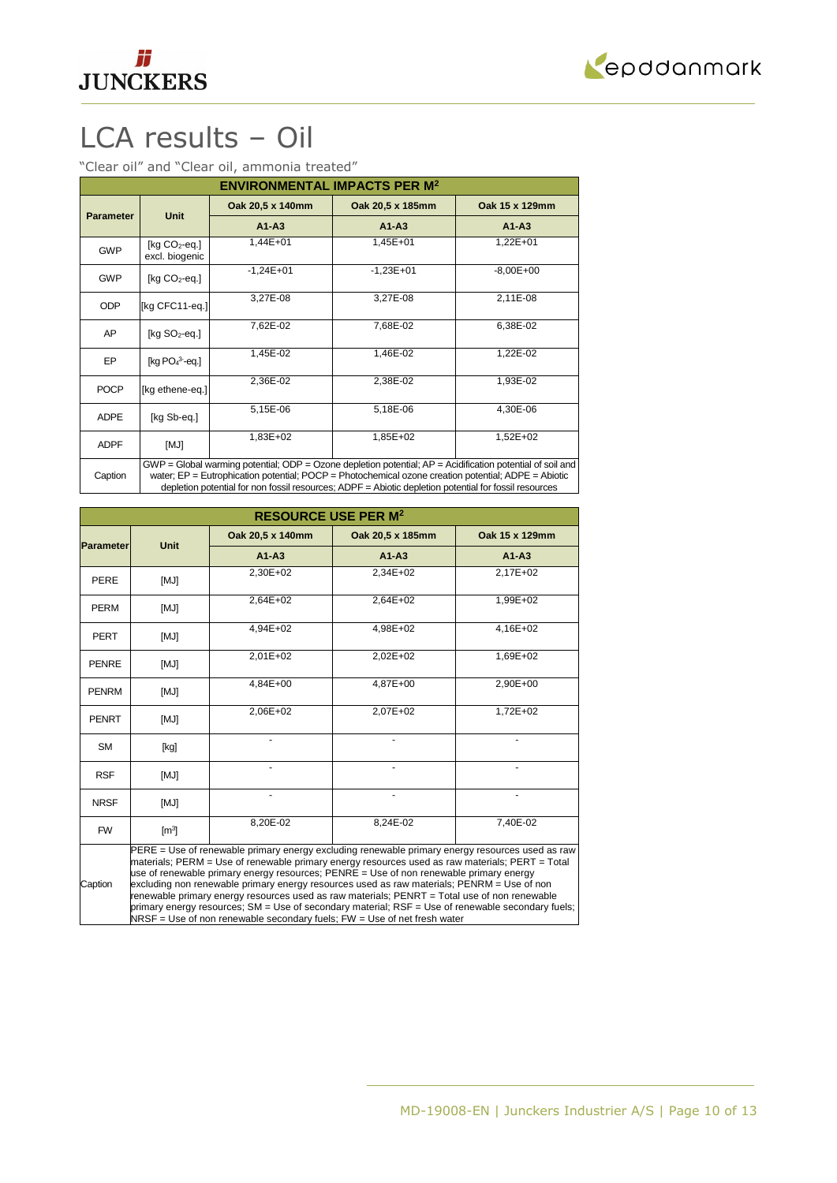



# LCA results – Oil

"Clear oil" and "Clear oil, ammonia treated"

| <b>ENVIRONMENTAL IMPACTS PER M<sup>2</sup></b> |                                                                                                                                                                                                                              |                  |                  |                |
|------------------------------------------------|------------------------------------------------------------------------------------------------------------------------------------------------------------------------------------------------------------------------------|------------------|------------------|----------------|
| <b>Parameter</b>                               | <b>Unit</b>                                                                                                                                                                                                                  | Oak 20,5 x 140mm | Oak 20,5 x 185mm | Oak 15 x 129mm |
|                                                |                                                                                                                                                                                                                              | $A1 - A3$        | $A1 - A3$        | $A1-A3$        |
| <b>GWP</b>                                     | $[kq CO2-eq.]$<br>excl. biogenic                                                                                                                                                                                             | 1,44E+01         | 1,45E+01         | 1,22E+01       |
| <b>GWP</b>                                     | [ $kg CO2$ -eq.]                                                                                                                                                                                                             | $-1,24E+01$      | $-1,23E+01$      | $-8,00E + 00$  |
| <b>ODP</b>                                     | [kg CFC11-eq.]                                                                                                                                                                                                               | 3,27E-08         | 3,27E-08         | 2,11E-08       |
| AP                                             | [kg $SO2$ -eq.]                                                                                                                                                                                                              | 7,62E-02         | 7,68E-02         | 6,38E-02       |
| EP                                             | [kg $PO43$ -eq.]                                                                                                                                                                                                             | 1,45E-02         | 1,46E-02         | 1,22E-02       |
| <b>POCP</b>                                    | [kg ethene-eq.]                                                                                                                                                                                                              | 2,36E-02         | 2,38E-02         | 1,93E-02       |
| <b>ADPE</b>                                    | [kg Sb-eq.]                                                                                                                                                                                                                  | 5,15E-06         | 5,18E-06         | 4,30E-06       |
| <b>ADPF</b>                                    | [MJ]                                                                                                                                                                                                                         | 1,83E+02         | 1,85E+02         | 1,52E+02       |
| Caption                                        | $GWP = Global$ warming potential; ODP = Ozone depletion potential; $AP = Acidification$ potential of soil and<br>water; $EP = Eutrophication potential$ ; $POCP = Photochemical ozone creation potential$ ; $ADPE = Abiotic$ |                  |                  |                |

water; EP = Eutrophication potential; POCP = Photochemical ozone creation potential; ADPE = Abiotic depletion potential for non fossil resources; ADPF = Abiotic depletion potential for fossil resources

| <b>RESOURCE USE PER M<sup>2</sup></b> |                                                                                                                                                                                                                                                                                                                                                                                                                                                                                                                                                                                                                                                                               |                  |                  |                |
|---------------------------------------|-------------------------------------------------------------------------------------------------------------------------------------------------------------------------------------------------------------------------------------------------------------------------------------------------------------------------------------------------------------------------------------------------------------------------------------------------------------------------------------------------------------------------------------------------------------------------------------------------------------------------------------------------------------------------------|------------------|------------------|----------------|
| <b>Parameter</b>                      | <b>Unit</b>                                                                                                                                                                                                                                                                                                                                                                                                                                                                                                                                                                                                                                                                   | Oak 20,5 x 140mm | Oak 20,5 x 185mm | Oak 15 x 129mm |
|                                       |                                                                                                                                                                                                                                                                                                                                                                                                                                                                                                                                                                                                                                                                               | $A1 - A3$        | $A1 - A3$        | $A1 - A3$      |
| <b>PERE</b>                           | [MJ]                                                                                                                                                                                                                                                                                                                                                                                                                                                                                                                                                                                                                                                                          | 2,30E+02         | 2,34E+02         | 2,17E+02       |
| <b>PERM</b>                           | [MJ]                                                                                                                                                                                                                                                                                                                                                                                                                                                                                                                                                                                                                                                                          | 2,64E+02         | 2,64E+02         | 1,99E+02       |
| <b>PERT</b>                           | [MJ]                                                                                                                                                                                                                                                                                                                                                                                                                                                                                                                                                                                                                                                                          | 4,94E+02         | 4,98E+02         | 4,16E+02       |
| <b>PENRE</b>                          | [MJ]                                                                                                                                                                                                                                                                                                                                                                                                                                                                                                                                                                                                                                                                          | $2,01E+02$       | 2,02E+02         | 1,69E+02       |
| <b>PENRM</b>                          | [MJ]                                                                                                                                                                                                                                                                                                                                                                                                                                                                                                                                                                                                                                                                          | $4.84E + 00$     | 4,87E+00         | 2,90E+00       |
| <b>PENRT</b>                          | [MJ]                                                                                                                                                                                                                                                                                                                                                                                                                                                                                                                                                                                                                                                                          | 2,06E+02         | 2,07E+02         | 1,72E+02       |
| <b>SM</b>                             | [kg]                                                                                                                                                                                                                                                                                                                                                                                                                                                                                                                                                                                                                                                                          |                  |                  |                |
| <b>RSF</b>                            | [MJ]                                                                                                                                                                                                                                                                                                                                                                                                                                                                                                                                                                                                                                                                          |                  |                  |                |
| <b>NRSF</b>                           | [MJ]                                                                                                                                                                                                                                                                                                                                                                                                                                                                                                                                                                                                                                                                          | ٠                | ÷.               |                |
| <b>FW</b>                             | $\mathsf{[m^3]}$                                                                                                                                                                                                                                                                                                                                                                                                                                                                                                                                                                                                                                                              | 8,20E-02         | 8,24E-02         | 7,40E-02       |
| Caption                               | PERE = Use of renewable primary energy excluding renewable primary energy resources used as raw<br>materials; PERM = Use of renewable primary energy resources used as raw materials; PERT = Total<br>use of renewable primary energy resources; PENRE = Use of non renewable primary energy<br>excluding non renewable primary energy resources used as raw materials; PENRM = Use of non<br>renewable primary energy resources used as raw materials; PENRT = Total use of non renewable<br>primary energy resources; SM = Use of secondary material; RSF = Use of renewable secondary fuels;<br>$NRSF = Use of non renewable secondary fuels; FW = Use of net fresh water$ |                  |                  |                |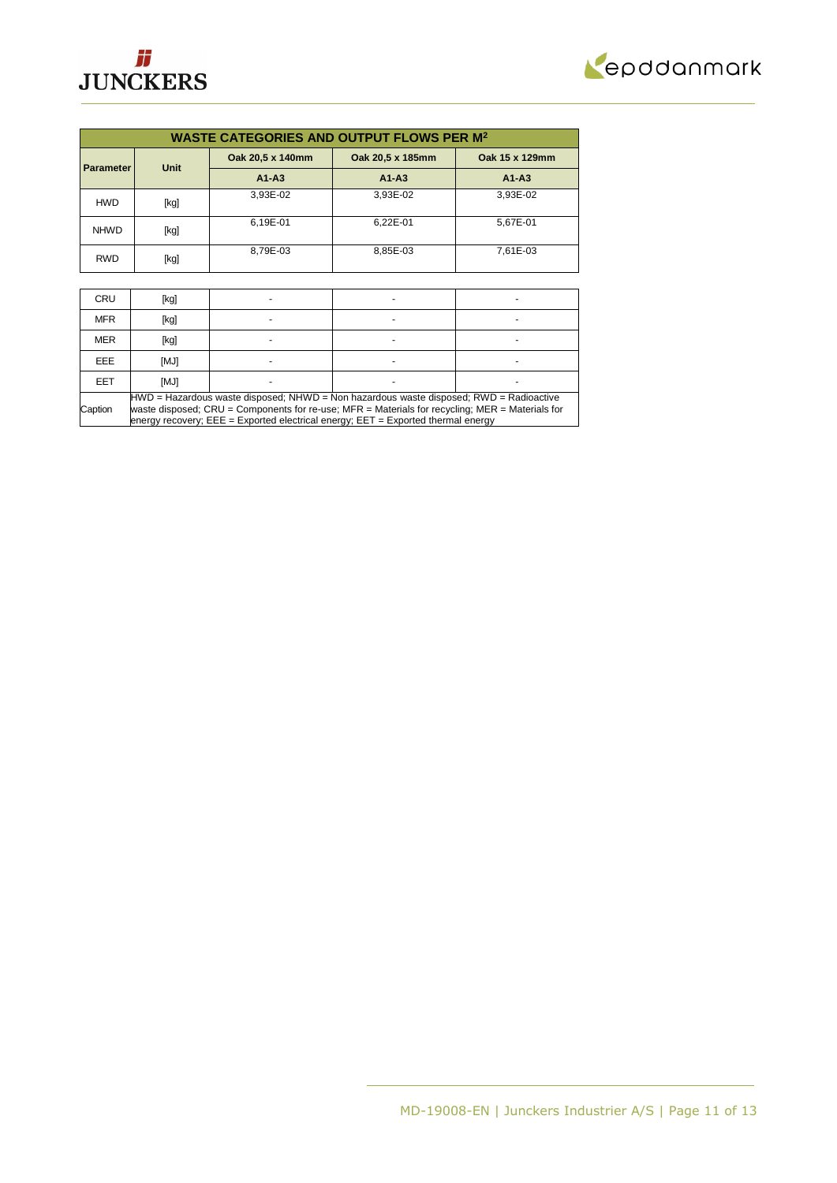



| <b>WASTE CATEGORIES AND OUTPUT FLOWS PER M<sup>2</sup></b> |      |                  |                  |                |
|------------------------------------------------------------|------|------------------|------------------|----------------|
| <b>Parameter</b>                                           | Unit | Oak 20,5 x 140mm | Oak 20,5 x 185mm | Oak 15 x 129mm |
|                                                            |      | $A1 - A3$        | $A1 - A3$        | $A1 - A3$      |
| <b>HWD</b>                                                 | [kg] | 3.93E-02         | 3.93E-02         | 3.93E-02       |
| <b>NHWD</b>                                                | [kg] | 6,19E-01         | 6.22E-01         | 5.67E-01       |
| <b>RWD</b>                                                 | [kg] | 8.79E-03         | 8.85E-03         | 7.61E-03       |

| <b>CRU</b> | [kg]                                                                                                                                                                                                                                                                                 |  |  |  |
|------------|--------------------------------------------------------------------------------------------------------------------------------------------------------------------------------------------------------------------------------------------------------------------------------------|--|--|--|
| <b>MFR</b> | [kg]                                                                                                                                                                                                                                                                                 |  |  |  |
| <b>MER</b> | [kg]                                                                                                                                                                                                                                                                                 |  |  |  |
| EEE.       | [MJ]                                                                                                                                                                                                                                                                                 |  |  |  |
| EET        | [MJ]                                                                                                                                                                                                                                                                                 |  |  |  |
| Caption    | $HWD =$ Hazardous waste disposed; NHWD = Non hazardous waste disposed; RWD = Radioactive<br>waste disposed; CRU = Components for re-use; MFR = Materials for recycling; MER = Materials for<br>energy recovery; $EEE = Exported electrical energy$ ; $EET = Exported thermal energy$ |  |  |  |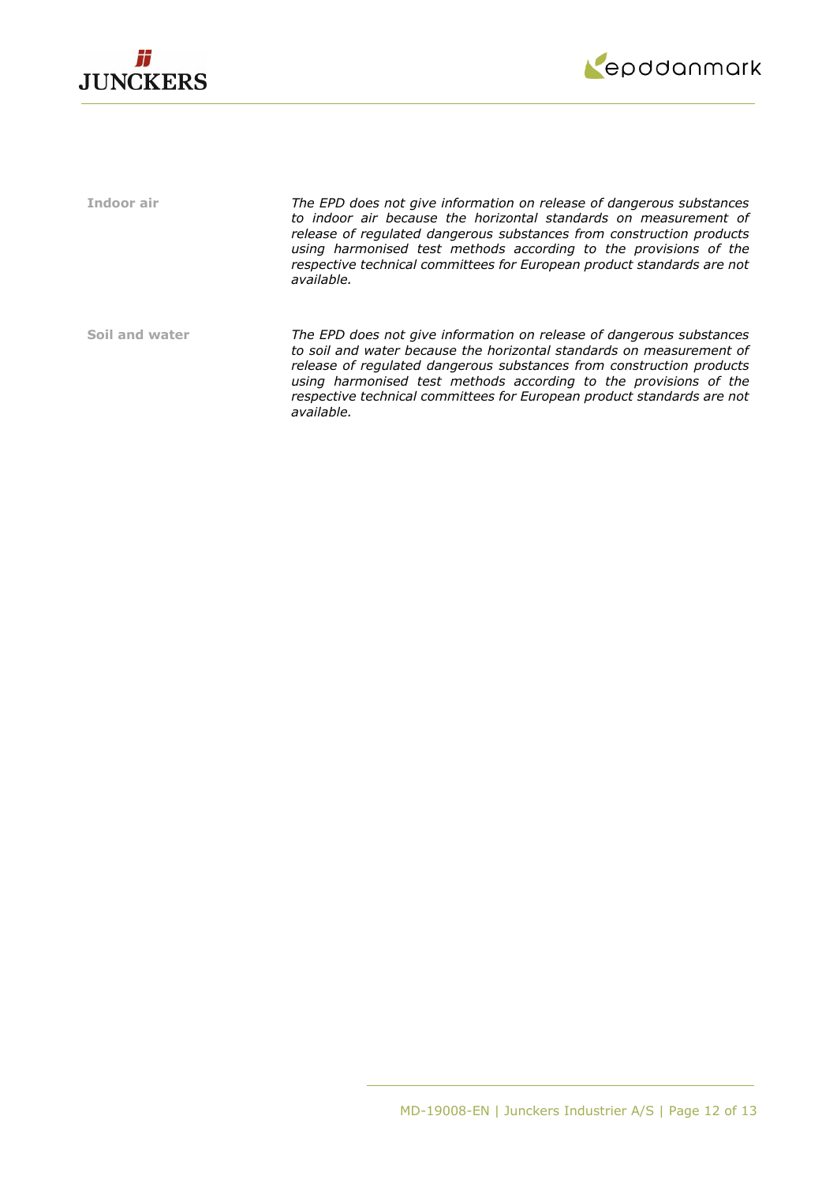



**Indoor air** *The EPD does not give information on release of dangerous substances to indoor air because the horizontal standards on measurement of release of regulated dangerous substances from construction products using harmonised test methods according to the provisions of the respective technical committees for European product standards are not available.* **Soil and water** *The EPD does not give information on release of dangerous substances to soil and water because the horizontal standards on measurement of release of regulated dangerous substances from construction products using harmonised test methods according to the provisions of the respective technical committees for European product standards are not available.*